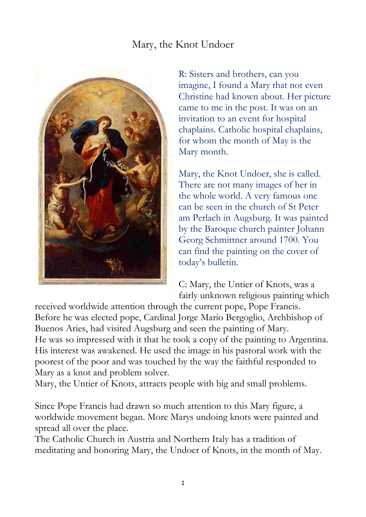## Mary, the Knot Undoer



R: Sisters and brothers, can you imagine, I found a Mary that not even Christine had known about. Her picture came to me in the post. It was on an invitation to an event for hospital chaplains. Catholic hospital chaplains, for whom the month of May is the Mary month.

Mary, the Knot Undoer, she is called. There are not many images of her in the whole world. A very famous one can be seen in the church of St Peter am Perlach in Augsburg. It was painted by the Baroque church painter Johann Georg Schmittner around 1700. You can find the painting on the cover of today's bulletin.

C: Mary, the Untier of Knots, was a fairly unknown religious painting which

received worldwide attention through the current pope, Pope Francis. Before he was elected pope, Cardinal Jorge Mario Bergoglio, Archbishop of Buenos Aries, had visited Augsburg and seen the painting of Mary. He was so impressed with it that he took a copy of the painting to Argentina. His interest was awakened. He used the image in his pastoral work with the poorest of the poor and was touched by the way the faithful responded to Mary as a knot and problem solver.

Mary, the Untier of Knots, attracts people with big and small problems.

Since Pope Francis had drawn so much attention to this Mary figure, a worldwide movement began. More Marys undoing knots were painted and spread all over the place.

The Catholic Church in Austria and Northern Italy has a tradition of meditating and honoring Mary, the Undoer of Knots, in the month of May.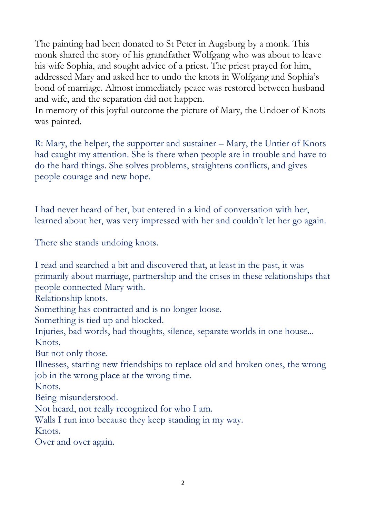The painting had been donated to St Peter in Augsburg by a monk. This monk shared the story of his grandfather Wolfgang who was about to leave his wife Sophia, and sought advice of a priest. The priest prayed for him, addressed Mary and asked her to undo the knots in Wolfgang and Sophia's bond of marriage. Almost immediately peace was restored between husband and wife, and the separation did not happen.

In memory of this joyful outcome the picture of Mary, the Undoer of Knots was painted.

R: Mary, the helper, the supporter and sustainer – Mary, the Untier of Knots had caught my attention. She is there when people are in trouble and have to do the hard things. She solves problems, straightens conflicts, and gives people courage and new hope.

I had never heard of her, but entered in a kind of conversation with her, learned about her, was very impressed with her and couldn't let her go again.

There she stands undoing knots.

I read and searched a bit and discovered that, at least in the past, it was primarily about marriage, partnership and the crises in these relationships that people connected Mary with.

Relationship knots.

Something has contracted and is no longer loose.

Something is tied up and blocked.

Injuries, bad words, bad thoughts, silence, separate worlds in one house... Knots.

But not only those.

Illnesses, starting new friendships to replace old and broken ones, the wrong job in the wrong place at the wrong time.

Knots.

Being misunderstood.

Not heard, not really recognized for who I am.

Walls I run into because they keep standing in my way.

Knots.

Over and over again.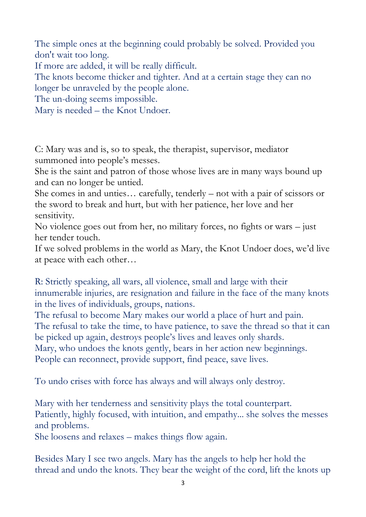The simple ones at the beginning could probably be solved. Provided you don't wait too long.

If more are added, it will be really difficult.

The knots become thicker and tighter. And at a certain stage they can no longer be unraveled by the people alone.

The un-doing seems impossible.

Mary is needed – the Knot Undoer.

C: Mary was and is, so to speak, the therapist, supervisor, mediator summoned into people's messes.

She is the saint and patron of those whose lives are in many ways bound up and can no longer be untied.

She comes in and unties… carefully, tenderly – not with a pair of scissors or the sword to break and hurt, but with her patience, her love and her sensitivity.

No violence goes out from her, no military forces, no fights or wars – just her tender touch.

If we solved problems in the world as Mary, the Knot Undoer does, we'd live at peace with each other…

R: Strictly speaking, all wars, all violence, small and large with their innumerable injuries, are resignation and failure in the face of the many knots in the lives of individuals, groups, nations.

The refusal to become Mary makes our world a place of hurt and pain.

The refusal to take the time, to have patience, to save the thread so that it can be picked up again, destroys people's lives and leaves only shards.

Mary, who undoes the knots gently, bears in her action new beginnings.

People can reconnect, provide support, find peace, save lives.

To undo crises with force has always and will always only destroy.

Mary with her tenderness and sensitivity plays the total counterpart. Patiently, highly focused, with intuition, and empathy... she solves the messes and problems.

She loosens and relaxes – makes things flow again.

Besides Mary I see two angels. Mary has the angels to help her hold the thread and undo the knots. They bear the weight of the cord, lift the knots up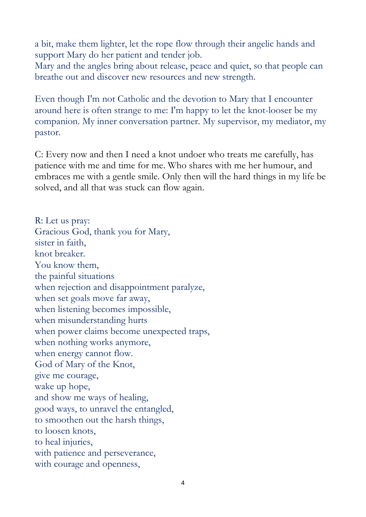a bit, make them lighter, let the rope flow through their angelic hands and support Mary do her patient and tender job.

Mary and the angles bring about release, peace and quiet, so that people can breathe out and discover new resources and new strength.

Even though I'm not Catholic and the devotion to Mary that I encounter around here is often strange to me: I'm happy to let the knot-looser be my companion. My inner conversation partner. My supervisor, my mediator, my pastor.

C: Every now and then I need a knot undoer who treats me carefully, has patience with me and time for me. Who shares with me her humour, and embraces me with a gentle smile. Only then will the hard things in my life be solved, and all that was stuck can flow again.

R: Let us pray: Gracious God, thank you for Mary, sister in faith, knot breaker. You know them, the painful situations when rejection and disappointment paralyze, when set goals move far away, when listening becomes impossible, when misunderstanding hurts when power claims become unexpected traps, when nothing works anymore, when energy cannot flow. God of Mary of the Knot, give me courage, wake up hope, and show me ways of healing, good ways, to unravel the entangled, to smoothen out the harsh things, to loosen knots, to heal injuries, with patience and perseverance, with courage and openness,